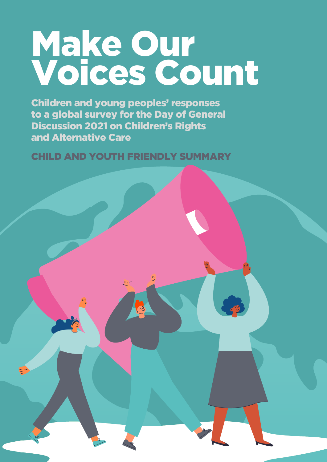# Make Our Voices Count

Children and young peoples' responses to a global survey for the Day of General Discussion 2021 on Children's Rights and Alternative Care

CHILD AND YOUTH FRIENDLY SUMMARY

心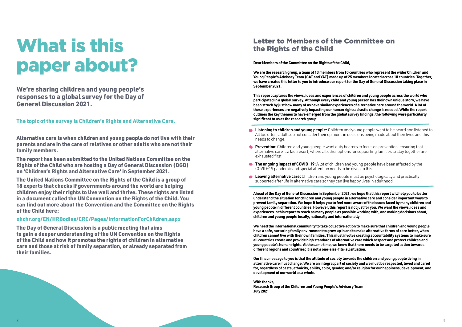## What is this paper about?

We're sharing children and young people's responses to a global survey for the Day of General Discussion 2021.

The topic of the survey is Children's Rights and Alternative Care.

Alternative care is when children and young people do not live with their parents and are in the care of relatives or other adults who are not their family members.

The report has been submitted to the United Nations Committee on the Rights of the Child who are hosting a Day of General Discussion (DGD) on 'Children's Rights and Alternative Care' in September 2021.

The United Nations Committee on the Rights of the Child is a group of 18 experts that checks if governments around the world are helping children enjoy their rights to live well and thrive. These rights are listed in a document called the UN Convention on the Rights of the Child. You can find out more about the Convention and the Committee on the Rights of the Child [here:](https://www.ohchr.org/EN/HRBodies/CRC/Pages/InformationForChildren.aspx)

### [ohchr.org/EN/HRBodies/CRC/Pages/InformationForChildren.aspx](http://ohchr.org/EN/HRBodies/CRC/Pages/InformationForChildren.aspx)

The Day of General Discussion is a public meeting that aims to gain a deeper understanding of the UN Convention on the Rights of the Child and how it promotes the rights of children in alternative care and those at risk of family separation, or already separated from their families.

### Letter to Members of the Committee on the Rights of the Child

**Dear Members of the Committee on the Rights of the Child,** 

**We are the research group, a team of 13 members from 10 countries who represent the wider Children and Young People's Advisory Team (CAT and YAT) made up of 25 members located across 18 countries. Together, we have created this letter to you to introduce our report for the Day of General Discussion taking place in September 2021.**

- **Listening to children and young people:** Children and young people want to be heard and listened to.  $\blacksquare$ All too often, adults do not consider their opinions in decisions being made about their lives and this needs to change.
- **Prevention:** Children and young people want duty bearers to focus on prevention, ensuring that alternative care is a last resort, where all other options for supporting families to stay together are exhausted first.
- **The ongoing impact of COVID-19:** A lot of children and young people have been affected by the COVID-19 pandemic and special attention needs to be given to this.
- **Leaving alternative care:** Children and young people must be psychologically and practically supported after life in alternative care so they can live happy lives in adulthood.

**This report captures the views, ideas and experiences of children and young people across the world who participated in a global survey. Although every child and young person has their own unique story, we have been struck by just how many of us have similar experiences of alternative care around the world. A lot of these experiences are negatively impacting our human rights: drastic change is needed. While the report outlines the key themes to have emerged from the global survey findings, the following were particularly significant to us as the research group:** 

**Ahead of the Day of General Discussion in September 2021, we hope that this report will help you to better understand the situation for children and young people in alternative care and consider important ways to prevent family separation. We hope it helps you to feel more aware of the issues faced by many children and young people in different countries. However, this report is not just for you. We want the views, ideas and experiences in this report to reach as many people as possible working with, and making decisions about, children and young people locally, nationally and internationally.** 

**We need the international community to take collective action to make sure that children and young people have a safe, nurturing family environment to grow up in and to make alternative forms of care better, when children cannot live with their own families. This must involve creating accountability systems to make sure all countries create and provide high standards of alternative care which respect and protect children and young people's human rights. At the same time, we know that there needs to be targeted action towards different regions and countries; it is not a one-size-fits-all situation.**

**Our final message to you is that the attitude of society towards the children and young people living in alternative care must change. We are an integral part of society and we must be respected, loved and cared for, regardless of caste, ethnicity, ability, color, gender, and/or religion for our happiness, development, and development of our world as a whole.** 

### **With thanks,**

**Research Group of the Children and Young People's Advisory Team July 2021**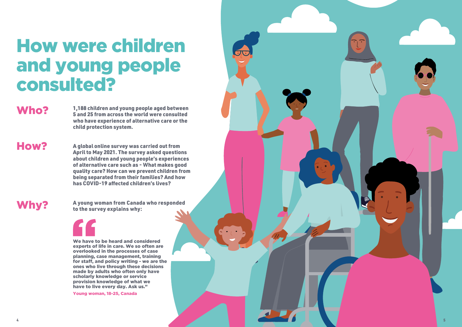## How were children and young people consulted?

We have to be heard and considered experts of life in care. We so often are overlooked in the processes of case planning, case management, training for staff, and policy writing - we are the ones who live through these decisions made by adults who often only have scholarly knowledge or service provision knowledge of what we have to live every day. Ask us."

Young woman, 18-25, Canada

## Who?

Why?

1,188 children and young people aged between 5 and 25 from across the world were consulted who have experience of alternative care or the child protection system.

How?

A young woman from Canada who responded to the survey explains why:



A global online survey was carried out from April to May 2021. The survey asked questions about children and young people's experiences of alternative care such as - What makes good quality care? How can we prevent children from being separated from their families? And how has COVID-19 affected children's lives?

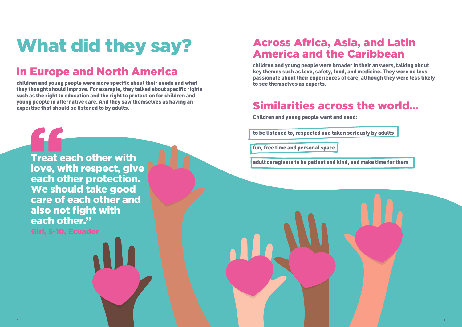# What did they say?

## In Europe and North America

children and young people were more specific about their needs and what they thought should improve. For example, they talked about specific rights such as the right to education and the right to protection for children and young people in alternative care. And they saw themselves as having an expertise that should be listened to by adults.

Treat each other with love, with respect, give each other protection. We should take good care of each other and also not fight with each other." Girl, 5-10, Ecuador

## Across Africa, Asia, and Latin America and the Caribbean

children and young people were broader in their answers, talking about key themes such as love, safety, food, and medicine. They were no less passionate about their experiences of care, although they were less likely to see themselves as experts.

## Similarities across the world…

Children and young people want and need:

to be listened to, respected and taken seriously by adults

fun, free time and personal space

adult caregivers to be patient and kind, and make time for them

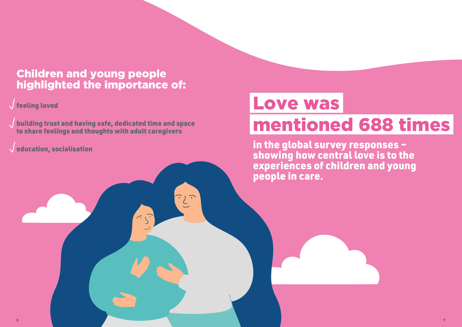in the global survey responses – showing how central love is to the experiences of children and young people in care.

## Children and young people highlighted the importance of:

### $\sqrt{}$  feeling loved

building trust and having safe, dedicated time and space to share feelings and thoughts with adult caregivers

 $\widehat{\hspace{1cm}}$ 

 $\sqrt{e}$  ducation, socialisation

# Love was mentioned 688 times

**8 9**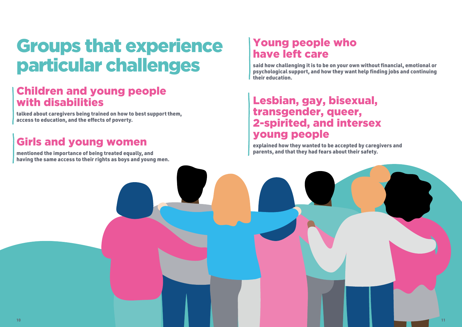## Groups that experience particular challenges

## Young people who have left care

said how challenging it is to be on your own without financial, emotional or psychological support, and how they want help finding jobs and continuing their education.

## Lesbian, gay, bisexual, transgender, queer, 2-spirited, and intersex young people

explained how they wanted to be accepted by caregivers and parents, and that they had fears about their safety.

### Children and young people with disabilities

talked about caregivers being trained on how to best support them, access to education, and the effects of poverty.

## Girls and young women

mentioned the importance of being treated equally, and having the same access to their rights as boys and young men.





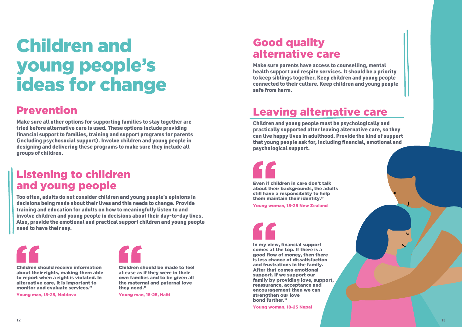## Children and young people's ideas for change

## Prevention

Make sure all other options for supporting families to stay together are tried before alternative care is used. These options include providing financial support to families, training and support programs for parents (including psychosocial support). Involve children and young people in designing and delivering these programs to make sure they include all groups of children.

## Listening to children and young people

Too often, adults do not consider children and young people's opinions in decisions being made about their lives and this needs to change. Provide training and education for adults on how to meaningfully listen to and involve children and young people in decisions about their day-to-day lives. Also, provide the emotional and practical support children and young people need to have their say.



### Good quality alternative care

Make sure parents have access to counselling, mental health support and respite services. It should be a priority to keep siblings together. Keep children and young people connected to their culture. Keep children and young people safe from harm.

## Leaving alternative care

Children and young people must be psychologically and practically supported after leaving alternative care, so they can live happy lives in adulthood. Provide the kind of support that young people ask for, including financial, emotional and psychological support.

In my view, financial support comes at the top. If there is a good flow of money, then there is less chance of dissatisfaction and frustrations in the family. After that comes emotional support. If we support our family by providing love, support, reassurance, acceptance and encouragement then we can strengthen our love bond further."

Young woman, 18-25 Nepal

Children should receive information about their rights, making them able to report when a right is violated. In alternative care, it is important to monitor and evaluate services."

Young man, 18-25, Moldova



Even if children in care don't talk

about their backgrounds, the adults still have a responsibility to help them maintain their identity."

Young woman, 18-25 New Zealand

Children should be made to feel at ease as if they were in their own families and to be given all the maternal and paternal love they need."

Young man, 18-25, Haiti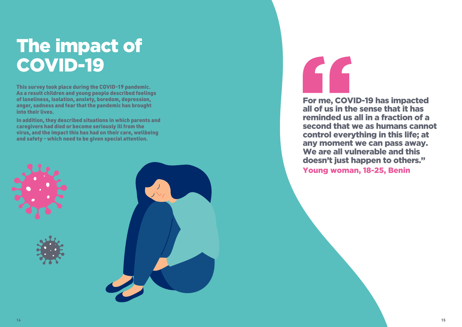For me, COVID-19 has impacted all of us in the sense that it has reminded us all in a fraction of a second that we as humans cannot control everything in this life; at any moment we can pass away. We are all vulnerable and this doesn't just happen to others." Young woman, 18-25, Benin

## The impact of COVID-19

This survey took place during the COVID-19 pandemic. As a result children and young people described feelings of loneliness, isolation, anxiety, boredom, depression, anger, sadness and fear that the pandemic has brought into their lives.

In addition, they described situations in which parents and caregivers had died or become seriously ill from the virus, and the impact this has had on their care, wellbeing and safety - which need to be given special attention.